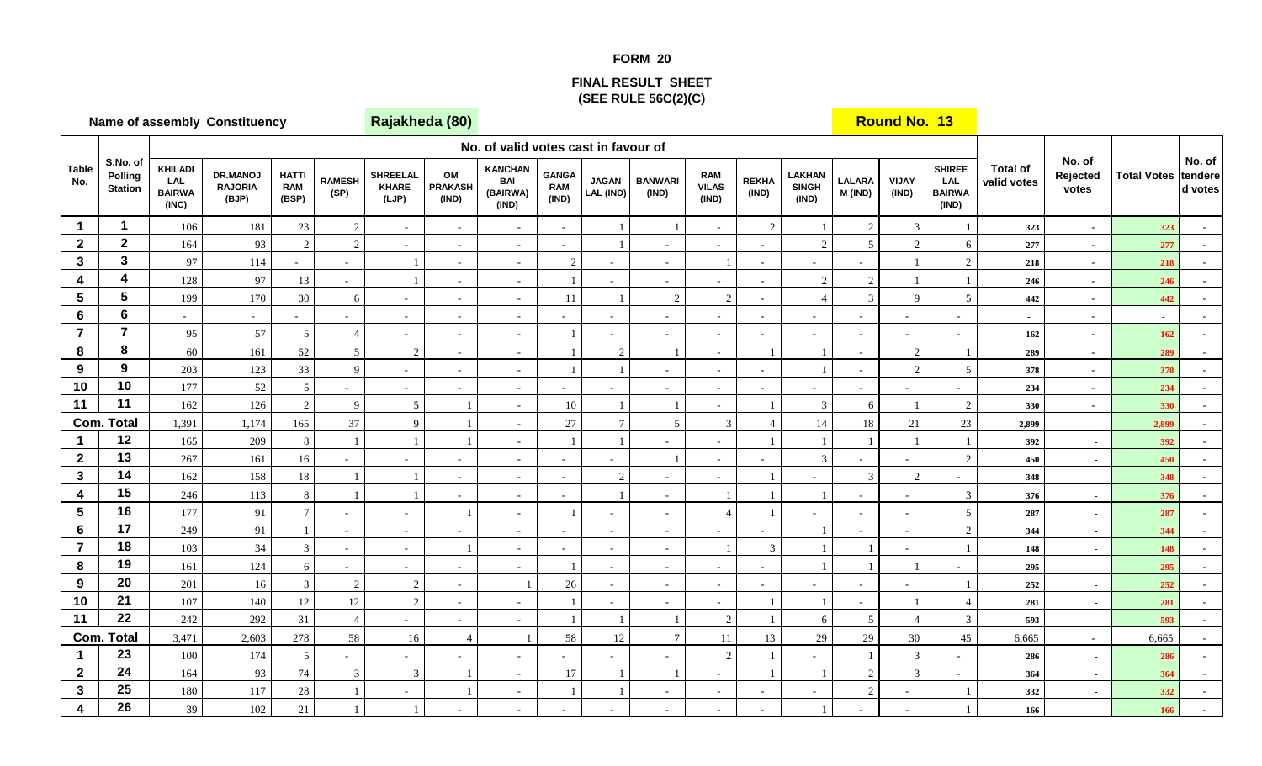## **FORM 20**

## **FINAL RESULT SHEET(SEE RULE 56C(2)(C)**

|                         | <b>Name of assembly Constituency</b>  |                                                 |                                     |                                     |                          |                                          | Rajakheda (80)                |                                                   |                                     |                           |                          |                                     |                       |                                        |                          | <b>Round No. 13</b>      |                                                |                                |                                                      |                    |                              |
|-------------------------|---------------------------------------|-------------------------------------------------|-------------------------------------|-------------------------------------|--------------------------|------------------------------------------|-------------------------------|---------------------------------------------------|-------------------------------------|---------------------------|--------------------------|-------------------------------------|-----------------------|----------------------------------------|--------------------------|--------------------------|------------------------------------------------|--------------------------------|------------------------------------------------------|--------------------|------------------------------|
|                         |                                       |                                                 |                                     |                                     |                          |                                          |                               | No. of valid votes cast in favour of              |                                     |                           |                          |                                     |                       |                                        |                          |                          |                                                |                                |                                                      |                    |                              |
| <b>Table</b><br>No.     | S.No. of<br>Polling<br><b>Station</b> | <b>KHILADI</b><br>LAL<br><b>BAIRWA</b><br>(INC) | DR.MANOJ<br><b>RAJORIA</b><br>(BJP) | <b>HATTI</b><br><b>RAM</b><br>(BSP) | <b>RAMESH</b><br>(SP)    | <b>SHREELAL</b><br><b>KHARE</b><br>(LJP) | OM<br><b>PRAKASH</b><br>(IND) | <b>KANCHAN</b><br><b>BAI</b><br>(BAIRWA)<br>(IND) | <b>GANGA</b><br><b>RAM</b><br>(IND) | <b>JAGAN</b><br>LAL (IND) | <b>BANWARI</b><br>(IND)  | <b>RAM</b><br><b>VILAS</b><br>(IND) | <b>REKHA</b><br>(IND) | <b>LAKHAN</b><br><b>SINGH</b><br>(IND) | <b>LALARA</b><br>M (IND) | <b>VIJAY</b><br>(IND)    | <b>SHIREE</b><br>LAL<br><b>BAIRWA</b><br>(IND) | <b>Total of</b><br>valid votes | No. of<br>Rejected<br>votes                          | <b>Total Votes</b> | No. of<br>tendere<br>d votes |
| $\mathbf{1}$            | 1                                     | 106                                             | 181                                 | 23                                  | $\overline{c}$           | $\sim$                                   |                               | $\sim$                                            | $\sim$                              |                           |                          | $\sim$                              | $\overline{2}$        |                                        | $\overline{c}$           | $\mathfrak{Z}$           |                                                | 323                            | $\sim$                                               | 323                |                              |
| $\mathbf{2}$            | $\mathbf 2$                           | 164                                             | 93                                  | $\overline{2}$                      | $\mathbf{2}$             | $\sim$                                   |                               | $\sim$                                            | $\sim$                              |                           |                          | $\sim$                              |                       | $\overline{2}$                         | 5                        | $\overline{2}$           | 6                                              | 277                            | $\sim$                                               | 277                |                              |
| $\mathbf{3}$            | $\mathbf{3}$                          | 97                                              | 114                                 |                                     | $\sim$                   |                                          |                               | $\sim$                                            | 2                                   | $\sim$                    |                          |                                     |                       | ä,                                     | ÷.                       | $\mathbf{1}$             | $\overline{c}$                                 | 218                            | $\sim$                                               | 218                | $\sim$                       |
| 4                       | 4                                     | 128                                             | 97                                  | 13                                  | $\sim$                   |                                          |                               | $\sim$                                            |                                     | $\omega$                  |                          | $\sim$                              |                       | $\overline{2}$                         | $\sqrt{2}$               |                          |                                                | 246                            | $\sim$                                               | 246                |                              |
| $5\phantom{.0}$         | 5                                     | 199                                             | 170                                 | $30\,$                              | 6                        | $\sim$                                   |                               | $\sim$                                            | 11                                  |                           | $\overline{2}$           | 2                                   |                       | $\overline{4}$                         | 3                        | 9                        | 5                                              | 442                            | $\sim$                                               | 442                |                              |
| 6                       | $6\phantom{a}$                        | ÷.                                              | $\sim$                              |                                     | $\sim$                   | $\omega$                                 |                               | $\sim$                                            | $\sim$                              | $\sim$                    |                          | $\sim$                              |                       | $\sim$                                 | $\sim$                   | $\sim$                   |                                                | $\sim$                         | $\sim$                                               | $\blacksquare$     |                              |
| $\overline{7}$          | $\overline{7}$                        | 95                                              | 57                                  | 5                                   | $\boldsymbol{\Delta}$    | $\sim$                                   |                               | $\sim$                                            |                                     |                           |                          | $\sim$                              |                       | $\blacksquare$                         | $\sim$                   | $\sim$                   | $\sim$                                         | 162                            | $\sim$                                               | 162                |                              |
| 8                       | 8                                     | $60\,$                                          | 161                                 | 52                                  | 5                        | $\sqrt{2}$                               | $\sim$                        | $\sim$                                            |                                     | $\sqrt{2}$                |                          | $\sim$                              |                       |                                        | $\sim$                   | $\sqrt{2}$               |                                                | 289                            | $\sim$                                               | 289                | $\omega$                     |
| 9                       | 9                                     | 203                                             | 123                                 | 33                                  | 9                        | $\sim$                                   |                               | $\overline{\phantom{a}}$                          |                                     | $\overline{1}$            |                          | $\sim$                              |                       |                                        | $\sim$                   | $\overline{2}$           | $\overline{5}$                                 | 378                            | $\sim$                                               | 378                |                              |
| 10                      | 10<br>11                              | 177                                             | 52                                  | 5                                   | $\sim$                   | $\sim$                                   |                               | $\sim$                                            |                                     |                           |                          | $\sim$                              |                       |                                        |                          |                          |                                                | 234                            | $\sim$                                               | 234                |                              |
| 11                      | <b>Com. Total</b>                     | 162<br>1,391                                    | 126                                 | $\overline{2}$<br>165               | 9<br>37                  | 5<br>9                                   |                               | $\overline{a}$                                    | $10\,$<br>27                        | $\tau$                    | 5                        | $\sim$<br>$\overline{3}$            |                       | 3<br>14                                | 6<br>18                  | 21                       | $\overline{c}$                                 | 330                            | $\sim$                                               | 330                |                              |
| $\mathbf 1$             | 12                                    | 165                                             | 1,174<br>209                        | 8                                   |                          |                                          |                               | $\sim$<br>$\sim$                                  |                                     | $\overline{1}$            |                          | $\sim$                              |                       |                                        | $\mathbf{1}$             | $\mathbf{1}$             | $23\,$                                         | 2,899<br>392                   | $\sim$                                               | 2,899<br>392       | $\sim$                       |
| $\overline{2}$          | 13                                    | 267                                             | 161                                 | 16                                  | $\sim$                   | $\sim$                                   |                               | $\sim$                                            | $\sim$                              |                           |                          | $\sim$                              |                       | $\overline{3}$                         |                          | $\overline{\phantom{a}}$ | 2                                              | 450                            | $\overline{\phantom{a}}$<br>$\overline{\phantom{a}}$ | 450                |                              |
| $\mathbf{3}$            | 14                                    | 162                                             | 158                                 | 18                                  |                          |                                          |                               | $\sim$                                            | $\sim$                              | 2                         |                          | $\sim$                              |                       |                                        | 3                        | $\overline{2}$           | $\sim$                                         | 348                            | $\sim$                                               | 348                |                              |
| $\overline{\mathbf{4}}$ | 15                                    | 246                                             | 113                                 | 8                                   |                          |                                          |                               | $\sim$                                            | $\sim$                              | $\mathbf{1}$              |                          |                                     |                       |                                        |                          | $\sim$                   | 3                                              | 376                            | $\sim$                                               | 376                |                              |
| $5\phantom{.0}$         | 16                                    | 177                                             | 91                                  |                                     | $\sim$                   | $\sim$                                   |                               | $\overline{\phantom{a}}$                          |                                     | $\overline{\phantom{a}}$  |                          |                                     |                       |                                        | $\blacksquare$           | $\sim$                   | $\mathfrak{S}$                                 | 287                            | $\sim$                                               | 287                |                              |
| 6                       | 17                                    | 249                                             | 91                                  |                                     | $\sim$                   | $\sim$                                   |                               | $\sim$                                            | $\sim$                              | $\sim$                    |                          | $\sim$                              |                       |                                        | $\sim$                   | $\sim$                   | $\overline{c}$                                 | 344                            | $\sim$                                               | 344                | $\sim$                       |
| $\overline{7}$          | 18                                    | 103                                             | 34                                  | 3                                   | $\sim$                   | $\sim$                                   |                               | $\sim$                                            | $\sim$                              | $\sim$                    | $\overline{\phantom{a}}$ |                                     | $\mathcal{R}$         |                                        | $\overline{1}$           | $\sim$                   |                                                | 148                            | $\overline{\phantom{a}}$                             | 148                |                              |
| 8                       | 19                                    | 161                                             | 124                                 | 6                                   | $\overline{\phantom{a}}$ | $\sim$                                   |                               | $\overline{\phantom{a}}$                          |                                     | $\sim$                    | $\sim$                   | $\sim$                              |                       |                                        |                          | $\mathbf{1}$             |                                                | 295                            | $\sim$                                               | 295                |                              |
| 9                       | 20                                    | 201                                             | 16                                  | 3                                   | $\overline{2}$           | 2                                        |                               |                                                   | 26                                  | $\sim$                    |                          | $\sim$                              |                       | ä,                                     |                          |                          |                                                | 252                            | $\sim$                                               | 252                |                              |
| 10                      | 21                                    | 107                                             | 140                                 | 12                                  | 12                       | 2                                        |                               |                                                   |                                     | $\sim$                    |                          | $\sim$                              |                       |                                        |                          |                          | $\overline{4}$                                 | 281                            | $\sim$                                               | 281                |                              |
| 11                      | 22                                    | 242                                             | 292                                 | 31                                  | $\overline{4}$           | $\sim$                                   | $\sim$                        | $\sim$                                            |                                     | $\overline{1}$            |                          | $\overline{2}$                      |                       | 6                                      | $\mathfrak{S}$           | $\overline{4}$           | 3                                              | 593                            | $\sim$                                               | 593                | $\sim$                       |
|                         | <b>Com. Total</b>                     | 3,471                                           | 2,603                               | 278                                 | 58                       | 16                                       | $\overline{4}$                |                                                   | 58                                  | $12\,$                    | $\overline{7}$           | $11\,$                              | 13                    | 29                                     | 29                       | 30                       | 45                                             | 6,665                          | $\sim$                                               | 6,665              |                              |
| $\blacktriangleleft$    | 23                                    | $100\,$                                         | 174                                 | 5                                   | $\sim$                   | $\sim$                                   |                               | ÷.                                                | $\overline{a}$                      |                           |                          | 2                                   |                       |                                        | $\mathbf{1}$             | $\overline{3}$           |                                                | 286                            | $\sim$                                               | 286                |                              |
| $\mathbf{2}$            | 24                                    | 164                                             | 93                                  | 74                                  | 3                        | 3                                        |                               | $\sim$                                            | 17                                  | $\overline{1}$            |                          | $\sim$                              |                       |                                        | $\overline{c}$           | 3                        |                                                | 364                            | $\sim$                                               | 364                |                              |
| $\mathbf{3}$            | 25                                    | $180\,$                                         | 117                                 | $28\,$                              |                          | $\sim$                                   |                               | $\overline{\phantom{a}}$                          |                                     |                           |                          | $\sim$                              |                       | $\overline{\phantom{a}}$               | $\sqrt{2}$               | $\overline{\phantom{a}}$ |                                                | 332                            | $\sim$                                               | 332                |                              |
| 4                       | 26                                    | 39                                              | 102                                 | $21\,$                              |                          |                                          |                               |                                                   |                                     |                           |                          | $\sim$                              |                       |                                        |                          |                          |                                                | 166                            | $\overline{a}$                                       | 166                |                              |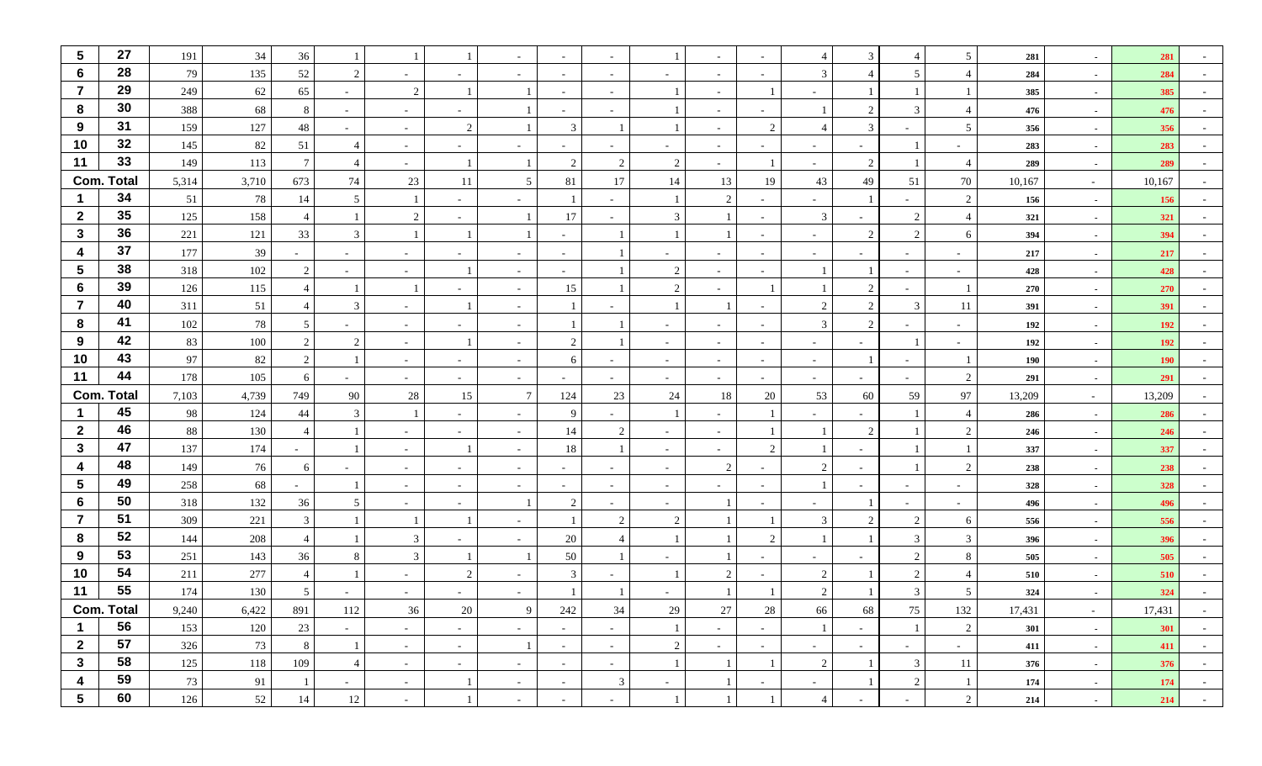| $\sqrt{5}$              | 27                | 191   | 34      | 36             |                          |        |                          |                          | $\sim$                   |                          |                          |        |                | 4                        | 3                     |                          | 5               | 281    | $\sim$     | 281        |        |
|-------------------------|-------------------|-------|---------|----------------|--------------------------|--------|--------------------------|--------------------------|--------------------------|--------------------------|--------------------------|--------|----------------|--------------------------|-----------------------|--------------------------|-----------------|--------|------------|------------|--------|
| 6                       | 28                | 79    | 135     | 52             | 2                        | $\sim$ | $\sim$                   |                          | $\sim$                   | $\sim$                   |                          | $\sim$ |                | 3                        | $\boldsymbol{\Delta}$ | 5 <sup>5</sup>           | $\overline{4}$  | 284    | $\sim$     | 284        |        |
| $\overline{7}$          | 29                | 249   | 62      | 65             |                          | 2      |                          |                          | $\sim$                   | $\sim$                   |                          | $\sim$ |                | $\sim$                   |                       |                          |                 | 385    | $\sim$     | 385        |        |
| 8                       | 30                | 388   | 68      | 8              | $\overline{\phantom{a}}$ | $\sim$ |                          |                          | $\sim$                   |                          |                          | $\sim$ |                |                          | $\overline{2}$        | 3                        | $\overline{4}$  | 476    | $\sim$     | 476        |        |
| 9                       | 31                | 159   | 127     | 48             |                          | $\sim$ | 2                        |                          | 3                        |                          |                          | $\sim$ | $\overline{2}$ | $\overline{4}$           | 3                     |                          | $5\phantom{.0}$ | 356    | $\sim$     | 356        |        |
| 10                      | 32                | 145   | 82      | 51             | -4                       | $\sim$ | $\sim$                   |                          | $\sim$                   | $\sim$                   | $\overline{\phantom{a}}$ | $\sim$ | $\sim$         | $\sim$                   | $\sim$                |                          | $\sim$          | 283    | $\sim$     | 283        |        |
| 11                      | 33                | 149   | 113     | 7              |                          | $\sim$ |                          |                          | 2                        | $\overline{2}$           | 2                        | $\sim$ |                | $\sim$                   | $\overline{2}$        |                          | $\overline{4}$  | 289    | $\sim$     | 289        |        |
|                         | <b>Com. Total</b> | 5,314 | 3,710   | 673            | 74                       | 23     | 11                       | 5                        | 81                       | 17                       | 14                       | 13     | 19             | 43                       | 49                    | 51                       | $70\,$          | 10,167 | $\sim$     | 10,167     |        |
|                         | 34                | 51    | 78      | 14             | 5                        |        |                          |                          |                          |                          |                          | 2      |                | $\sim$                   |                       |                          | 2               | 156    | $\sim$     | 156        |        |
| $\mathbf{2}$            | 35                | 125   | 158     |                |                          | 2      |                          |                          | 17                       |                          | 3                        |        |                | 3                        |                       | 2                        | $\overline{4}$  | 321    | $\sim$     | 321        |        |
| $\mathbf{3}$            | 36                | 221   | 121     | 33             | $\mathcal{R}$            |        |                          |                          | $\overline{\phantom{0}}$ |                          |                          |        |                | $\sim$                   | $\overline{2}$        | 2                        | 6               | 394    | $\sim$     | 394        |        |
| $\boldsymbol{4}$        | 37                | 177   | 39      |                |                          | $\sim$ |                          |                          | $\sim$                   |                          |                          |        |                | $\overline{\phantom{a}}$ |                       | $\sim$                   |                 | 217    | $\sim$     | 217        |        |
| $\sqrt{5}$              | 38                | 318   | 102     | 2              |                          | $\sim$ |                          |                          | $\sim$                   |                          | 2                        |        |                |                          |                       | $\overline{\phantom{0}}$ |                 | 428    | $\sim$     | 428        |        |
| 6                       | 39                | 126   | 115     | $\overline{4}$ |                          |        |                          | $\overline{\phantom{a}}$ | 15                       |                          | $\overline{2}$           | $\sim$ |                |                          | 2                     | $\sim$                   |                 | 270    | $\sim$     | 270        |        |
| $\overline{7}$          | 40                | 311   | 51      |                | 3                        | $\sim$ |                          |                          |                          |                          |                          |        |                | $\overline{c}$           | $\overline{2}$        | $\mathfrak{Z}$           | 11              | 391    | $\sim$     | 391        |        |
| 8                       | 41                | 102   | $78\,$  | 5              |                          | $\sim$ |                          |                          |                          |                          |                          | $\sim$ |                | 3                        | 2                     | $\sim$                   |                 | 192    | $\sim$     | 192        |        |
| 9                       | 42                | 83    | $100\,$ | 2              | $\mathcal{D}$            | $\sim$ |                          |                          | 2                        |                          |                          | $\sim$ |                | $\sim$                   |                       |                          |                 | 192    | $\sim$     | 192        |        |
| 10                      | 43                | 97    | 82      | $\overline{2}$ |                          | $\sim$ | $\overline{\phantom{a}}$ |                          | 6                        |                          |                          | $\sim$ |                | $\sim$                   |                       | $\sim$                   |                 | 190    | $\sim$     | <b>190</b> |        |
| 11                      | 44                | 178   | 105     | 6              | $\overline{\phantom{a}}$ | $\sim$ | $\sim$                   | $\sim$                   | $\sim$                   | $\overline{\phantom{a}}$ | $\sim$                   | $\sim$ | $\sim$         | $\sim$                   | $\sim$                | $\sim$                   | 2               | 291    | $\sim$     | 291        |        |
|                         | <b>Com. Total</b> | 7,103 | 4,739   | 749            | 90                       | 28     | 15                       | $7\phantom{.0}$          | 124                      | 23                       | 24                       | 18     | 20             | 53                       | 60                    | 59                       | 97              | 13,209 | $\sim$ $-$ | 13,209     |        |
|                         | 45                | 98    | 124     | 44             | $\mathcal{R}$            |        |                          |                          | 9                        |                          |                          | $\sim$ |                |                          |                       |                          | $\overline{4}$  | 286    | $\sim$     | 286        |        |
| $\overline{2}$          | 46                | 88    | 130     | $\overline{4}$ |                          | $\sim$ |                          |                          | 14                       | $\overline{2}$           |                          | $\sim$ |                |                          | 2                     |                          | $\overline{2}$  | 246    | $\sim$     | 246        |        |
| $\mathbf{3}$            | 47                | 137   | 174     | $\sim$         |                          | $\sim$ |                          | $\sim$                   | 18                       |                          | $\sim$                   | $\sim$ | $\overline{2}$ |                          |                       |                          |                 | 337    | $\sim$     | 337        |        |
| $\overline{\mathbf{4}}$ | 48                | 149   | 76      | 6              |                          | $\sim$ | $\sim$                   | $\overline{\phantom{a}}$ | $\sim$                   | $\sim$                   | $\overline{\phantom{a}}$ | 2      |                | $\overline{2}$           |                       |                          | $\overline{2}$  | 238    | $\sim$     | 238        |        |
| $5\phantom{.0}$         | 49                | 258   | 68      |                |                          | $\sim$ |                          |                          | $\sim$                   |                          |                          | $\sim$ |                |                          |                       |                          |                 | 328    | $\sim$     | 328        |        |
| 6                       | 50                | 318   | 132     | 36             |                          | $\sim$ |                          |                          | $\overline{2}$           |                          |                          |        |                | $\sim$                   |                       |                          |                 | 496    | $\sim$     | 496        |        |
| $\overline{7}$          | 51                | 309   | 221     | $\mathbf{3}$   |                          |        |                          | $\overline{\phantom{a}}$ |                          | $\overline{2}$           | 2                        |        |                | 3                        | $\overline{2}$        | 2                        | 6               | 556    | $\sim$     | 556        |        |
| 8                       | 52                | 144   | 208     |                |                          | 3      |                          |                          | 20                       |                          |                          |        | $\overline{2}$ |                          |                       | 3                        | 3               | 396    | $\sim$     | 396        |        |
| 9                       | 53                | 251   | 143     | 36             |                          | 3      |                          |                          | 50                       |                          |                          |        |                | $\overline{\phantom{a}}$ |                       | 2                        | 8               | 505    | $\sim$     | 505        |        |
| 10                      | 54                | 211   | 277     | $\overline{4}$ |                          | $\sim$ | 2                        |                          | 3                        |                          |                          | 2      |                | 2                        |                       | 2                        | $\overline{4}$  | 510    | $\sim$     | 510        |        |
| 11                      | 55                | 174   | 130     | 5              |                          | $\sim$ |                          |                          |                          |                          |                          |        |                | $\mathcal{D}$            |                       | 3                        | 5               | 324    | $\sim$     | 324        |        |
|                         | <b>Com. Total</b> | 9,240 | 6,422   | 891            | 112                      | 36     | 20                       | 9                        | 242                      | 34                       | 29                       | 27     | 28             | 66                       | 68                    | 75                       | 132             | 17,431 | $\sim$ $-$ | 17,431     | $\sim$ |
| $\mathbf 1$             | 56                | 153   | 120     | 23             | $\sim$                   | $\sim$ | $\sim$                   |                          | $\sim$                   | $\sim$                   |                          | $\sim$ |                | $\mathbf{1}$             | $\sim$                |                          | 2               | 301    | $\sim$     | 301        | $\sim$ |
| $\overline{2}$          | 57                | 326   | 73      | $8\phantom{.}$ |                          | $\sim$ | $\sim$                   |                          | $\sim$                   | $\sim$                   | $\overline{2}$           | $\sim$ | $\sim$         | $\sim$                   | $\sim$                | $\sim$                   | $\sim$          | 411    | $\sim$     | 411        | $\sim$ |
| $\mathbf{3}$            | 58                | 125   | 118     | 109            | $\overline{4}$           | $\sim$ | $\sim$                   | $\sim$                   | $\sim$                   | $\sim$                   |                          |        |                | $\sqrt{2}$               |                       | $\mathfrak{Z}$           | $11\,$          | 376    | $\sim$     | 376        | $\sim$ |
| $\boldsymbol{4}$        | 59                | 73    | 91      |                | $\sim$                   | $\sim$ |                          | $\sim$                   | $\sim$                   | $\mathfrak{Z}$           | $\sim$                   |        | $\overline{a}$ | $\sim$                   |                       | $\overline{2}$           |                 | 174    | $\sim$     | 174        | $\sim$ |
| $5\phantom{.0}$         | 60                | 126   | 52      | 14             | $12\,$                   | $\sim$ |                          | $\overline{\phantom{a}}$ | $\sim$                   | $\overline{\phantom{a}}$ |                          |        |                | $\overline{4}$           | $\sim$                | $\sim$                   | $\overline{2}$  | 214    | $\sim$     | 214        | $\sim$ |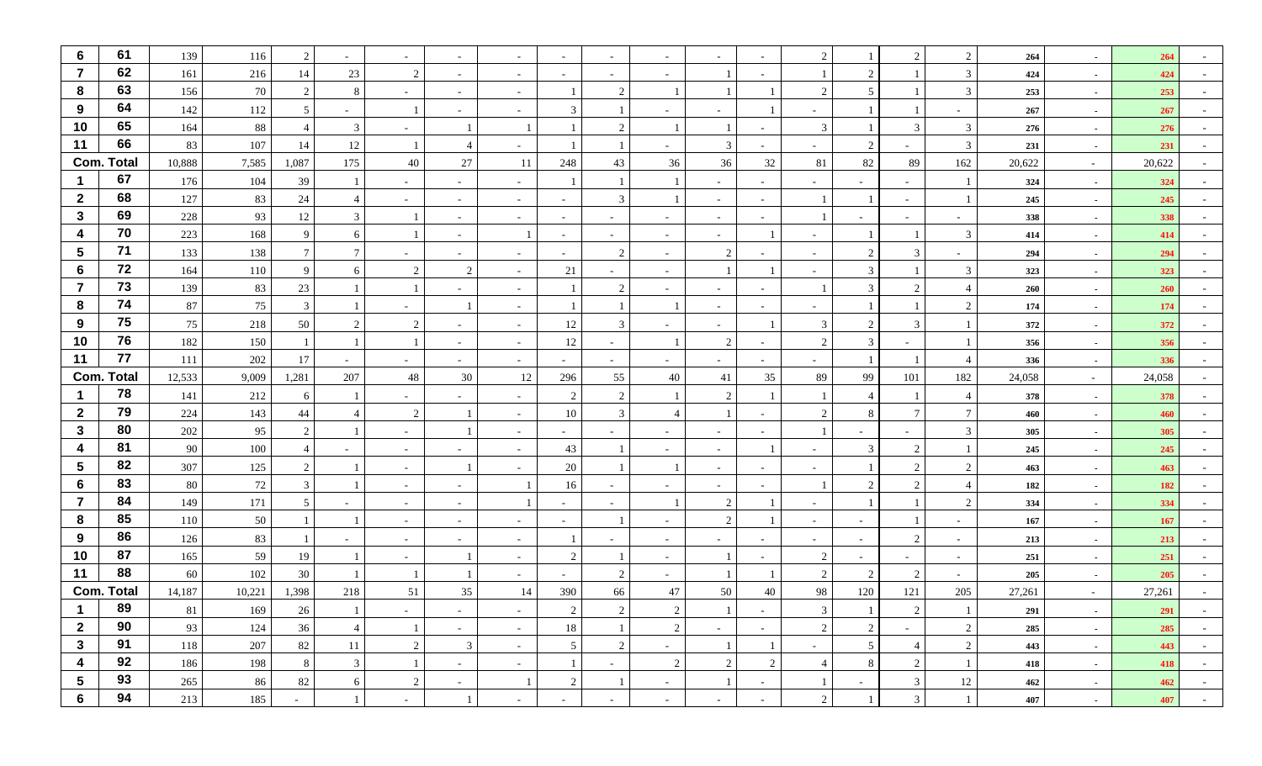| $6\phantom{1}6$         | 61                | 139        | 116      | 2              |                          | $\sim$         |                          |                          |                          |                          |                          |                |                | 2                        |                               | $\mathcal{D}$               | $\overline{2}$ | 264        | $\sim$           | 264        |        |
|-------------------------|-------------------|------------|----------|----------------|--------------------------|----------------|--------------------------|--------------------------|--------------------------|--------------------------|--------------------------|----------------|----------------|--------------------------|-------------------------------|-----------------------------|----------------|------------|------------------|------------|--------|
| $\overline{7}$          | 62                | 161        | 216      | 14             | 23                       | 2              |                          |                          |                          |                          |                          |                |                |                          | $\mathcal{D}$                 |                             | 3              | 424        | $\sim$           | 424        |        |
| 8                       | 63                | 156        | 70       | 2              | 8                        | $\overline{a}$ | $\overline{\phantom{a}}$ | $\overline{\phantom{a}}$ |                          | 2                        |                          |                |                | <u>ี</u>                 | $\overline{5}$                |                             | $\overline{3}$ | 253        | $\sim$           | 253        |        |
| 9                       | 64                | 142        | 112      | 5              |                          |                |                          |                          | $\mathcal{R}$            |                          |                          |                |                | $\sim$                   |                               |                             |                | 267        | $\sim$           | 267        |        |
| 10                      | 65                | 164        | 88       | $\overline{4}$ | 3                        | $\sim$         |                          |                          |                          | 2                        |                          |                |                | 3                        |                               | $\mathcal{R}$               | 3              | 276        | $\sim$           | 276        |        |
| 11                      | 66                | 83         | 107      | 14             | 12                       |                | $\overline{4}$           |                          |                          |                          |                          | 3              |                | $\sim$                   | 2                             | $\sim$                      | 3              | 231        | $\sim$           | 231        |        |
|                         | <b>Com. Total</b> | 10,888     | 7,585    | 1,087          | 175                      | 40             | 27                       | 11                       | 248                      | 43                       | 36                       | 36             | 32             | 81                       | 82                            | 89                          | 162            | 20,622     | $\sim$           | 20,622     |        |
|                         | 67                | 176        | 104      | 39             |                          | $\sim$         | $\sim$                   |                          |                          |                          |                          | $\sim$         |                | $\sim$                   |                               | $\sim$                      |                | 324        | $\sim$           | 324        |        |
| $\overline{2}$          | 68                | 127        | 83       | 24             |                          | $\sim$         |                          |                          | $\sim$                   | 3                        |                          | $\sim$         |                |                          |                               | $\sim$                      |                | 245        | $\sim$           | 245        |        |
| $\mathbf{3}$            | 69                | 228        | 93       | 12             | 3                        |                |                          |                          | $\sim$                   |                          |                          | $\sim$         |                |                          |                               |                             |                | 338        | $\sim$           | 338        |        |
| 4                       | 70                | 223        | 168      | 9              | 6                        |                | $\sim$                   |                          | $\sim$                   | $\overline{\phantom{a}}$ | $\overline{\phantom{a}}$ | $\sim$         |                | $\sim$                   |                               |                             | $\overline{3}$ | 414        | $\sim$           | 414        |        |
| $5\phantom{1}$          | 71                | 133        | 138      | $\tau$         |                          |                |                          |                          | $\overline{\phantom{0}}$ | 2                        |                          | 2              |                | $\sim$                   | $\mathfrak{D}_{\mathfrak{p}}$ | 3                           |                | 294        | $\sim$           | 294        |        |
| 6                       | 72                | 164        | 110      | 9              | -6                       | 2              | $\mathcal{D}$            | $\overline{\phantom{a}}$ | 21                       |                          |                          |                |                | $\overline{\phantom{a}}$ | 3                             |                             | 3              | 323        | $\sim$           | 323        |        |
| $\overline{7}$          | 73                | 139        | 83       | 23             |                          |                |                          |                          |                          | 2                        |                          | $\sim$         |                |                          | 3                             | $\mathcal{D}_{\mathcal{L}}$ | $\overline{4}$ | 260        | $\sim$           | 260        |        |
| 8                       | 74                | 87         | 75       | $\mathbf{3}$   |                          | $\sim$         |                          |                          |                          |                          |                          | $\sim$         |                | $\sim$                   |                               |                             | 2              | 174        | $\sim$           | 174        |        |
| 9                       | 75                | 75         | 218      | 50             |                          | 2              |                          | $\overline{\phantom{a}}$ | 12                       | 3                        |                          | $\sim$         |                | 3                        | $\mathfrak{D}_{\mathfrak{p}}$ | 3                           |                | 372        | $\sim$           | 372        |        |
| 10                      | 76                | 182        | 150      |                |                          |                |                          | $\overline{\phantom{a}}$ | 12                       |                          |                          | 2              |                | $\overline{2}$           | 3                             |                             |                | 356        | $\sim$           | 356        |        |
| 11                      | 77                | 111        | 202      | 17             |                          | $\sim$         |                          |                          |                          |                          |                          | $\sim$         |                |                          |                               |                             | $\overline{A}$ | 336        | $\sim$           | 336        |        |
|                         | <b>Com. Total</b> | 12,533     | 9,009    | 1,281          | 207                      | 48             | 30                       | 12                       | 296                      | 55                       | 40                       | 41             | 35             | 89                       | 99                            | 101                         | 182            | 24,058     | $\sim$           | 24,058     |        |
|                         | 78                | 141        | 212      | 6              |                          | $\sim$         |                          |                          | $\overline{2}$           | 2                        |                          | 2              |                |                          |                               |                             | $\overline{4}$ | 378        | $\sim$           | 378        |        |
| $\overline{2}$          | 79                | 224        | 143      | 44             |                          | 2              |                          |                          | 10                       | 3                        | $\angle$                 |                |                | $\overline{c}$           |                               |                             | $\overline{7}$ | 460        | $\sim$           | 460        |        |
| $\mathbf{3}$            | 80                | 202        | 95       | 2              |                          | $\sim$         |                          |                          | $\sim$                   |                          |                          | $\sim$         |                |                          |                               |                             | 3              | 305        | $\sim$           | 305        |        |
| $\overline{\mathbf{4}}$ | 81                | 90         | 100      |                |                          | $\sim$         |                          |                          | 43                       |                          |                          | $\sim$         |                | $\sim$                   |                               |                             |                | 245        | $\sim$           | 245        |        |
| $5\phantom{.0}$         | 82                | 307        | 125      | 2              |                          | $\sim$         |                          |                          | 20                       |                          |                          | $\sim$         |                | $\overline{\phantom{a}}$ |                               |                             | $\overline{2}$ | 463        | $\sim$           | 463        |        |
| 6<br>$\overline{7}$     | 83<br>84          | 80         | $72\,$   | 3              |                          | $\sim$         |                          |                          | 16                       |                          |                          |                |                |                          | $\overline{2}$                | $\mathcal{D}$               | $\overline{4}$ | 182        | $\sim$           | 182        |        |
|                         | 85                | 149        | 171      | 5              |                          | $\sim$         |                          |                          | $\overline{\phantom{a}}$ |                          |                          | 2              |                | $\overline{\phantom{a}}$ |                               |                             | $\mathcal{D}$  | 334        | $\sim$           | 334        |        |
| 8<br>9                  | 86                | 110        | $50\,$   |                |                          | $\sim$         | $\overline{\phantom{a}}$ |                          | $\sim$                   |                          |                          | 2              |                | $\sim$                   |                               | 2                           |                | 167        | $\sim$           | 167        |        |
| 10                      | 87                | 126<br>165 | 83<br>59 | 19             | $\overline{\phantom{a}}$ | $\sim$         | $\overline{\phantom{a}}$ |                          | $\overline{2}$           |                          |                          |                |                | $\sim$<br>$\overline{2}$ |                               |                             |                | 213        | $\sim$           | 213<br>251 |        |
| 11                      | 88                | 60         | 102      | 30             |                          | $\sim$         |                          |                          |                          | 2                        |                          |                |                | $\mathfrak{D}$           | $\mathcal{D}$                 | 2                           |                | 251<br>205 | $\sim$           | 205        |        |
|                         | <b>Com. Total</b> | 14,187     | 10,221   | 1,398          | 218                      | 51             | 35                       | 14                       | 390                      | 66                       | 47                       | 50             | 40             | 98                       | 120                           | 121                         | 205            | 27,261     | $\sim$<br>$\sim$ | 27,261     |        |
| - 1                     | 89                | 81         | 169      | 26             |                          | $\sim$         | $\sim$                   | $\sim$                   | $\overline{2}$           | $\overline{2}$           | $\overline{2}$           |                | $\sim$         | 3                        | $\perp$                       | $\overline{2}$              | $\perp$        | 291        | $\sim$           | 291        | $\sim$ |
| $\overline{2}$          | 90                | 93         | 124      | 36             | $\overline{4}$           | -1             | $\sim$                   | $\sim$                   | 18                       | $\mathbf{1}$             | 2                        | $\sim$         | $\sim$         | $\overline{2}$           | $\overline{2}$                | $\sim$                      | 2              | 285        | $\sim$           | 285        | $\sim$ |
| $\mathbf{3}$            | 91                | 118        | 207      | 82             | 11                       | $\overline{2}$ | 3                        | $\sim$                   | 5 <sub>1</sub>           | $\sqrt{2}$               | $\sim$                   |                |                | $\sim$                   | 5 <sup>5</sup>                | $\overline{4}$              | 2              | 443        | $\sim$           | 443        | $\sim$ |
| $\overline{\mathbf{4}}$ | 92                | 186        | 198      | 8              | $\mathfrak{Z}$           | 1              | $\sim$                   | $\sim$                   | 1                        | $\sim$                   | $\overline{c}$           | $\overline{2}$ | $\overline{2}$ | $\overline{4}$           | 8                             | $\overline{2}$              |                | 418        | $\sim$           | 418        | $\sim$ |
| $5\phantom{.0}$         | 93                | 265        | 86       | 82             | 6                        | $\overline{2}$ | $\sim$                   |                          | $\sqrt{2}$               | $\mathbf{1}$             | $\sim$                   | $\mathbf{1}$   | $\sim$         | 1                        | $\sim$                        | $\mathfrak{Z}$              | $12\,$         | 462        | $\sim$           | 462        | $\sim$ |
| $6\phantom{1}$          | 94                | 213        | 185      | $\sim$         |                          | $\sim$         | $\mathbf{1}$             | $\sim$                   | $\sim$                   | $\overline{\phantom{a}}$ | $\sim$                   | $\sim$         | $\sim$         | $\overline{2}$           |                               | $\mathfrak{Z}$              |                | 407        | $\sim$           | 407        | $\sim$ |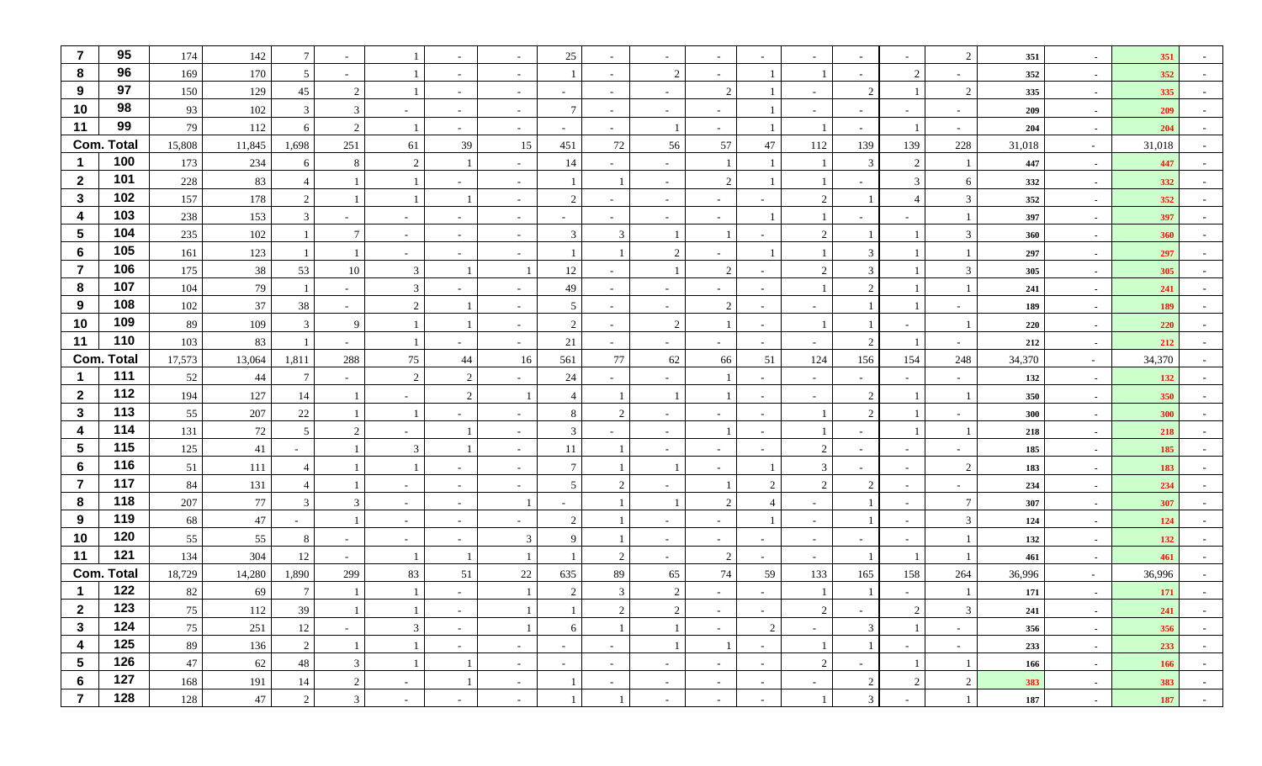| $\overline{7}$   | 95                | 174    | 142    | $\tau$          |                          |                |                          |                          | 25                       |                          |                             | $\sim$         |                          |                          |                               | $\sim$                   | 2              | 351    | $\sim$     | 351    |                          |
|------------------|-------------------|--------|--------|-----------------|--------------------------|----------------|--------------------------|--------------------------|--------------------------|--------------------------|-----------------------------|----------------|--------------------------|--------------------------|-------------------------------|--------------------------|----------------|--------|------------|--------|--------------------------|
| 8                | 96                | 169    | 170    | 5               |                          |                |                          |                          |                          |                          | $\overline{2}$              | $\sim$         |                          |                          |                               | 2                        |                | 352    | $\sim$     | 352    |                          |
| 9                | 97                | 150    | 129    | 45              | $\mathcal{D}$            |                | $\overline{\phantom{a}}$ | $\overline{\phantom{a}}$ | $\overline{\phantom{0}}$ | $\sim$                   |                             | 2              |                          | $\overline{\phantom{a}}$ | 2                             |                          | $\overline{2}$ | 335    | $\sim$     | 335    |                          |
| 10               | 98                | 93     | 102    | $\mathbf{3}$    | $\mathcal{R}$            |                |                          |                          | $\overline{7}$           |                          |                             | $\sim$         |                          |                          |                               |                          |                | 209    | $\sim$     | 209    |                          |
| 11               | 99                | 79     | 112    | 6               | $\mathcal{D}$            |                |                          |                          | $\sim$                   |                          |                             |                |                          |                          |                               |                          |                | 204    | $\sim$     | 204    |                          |
|                  | <b>Com. Total</b> | 15,808 | 11,845 | 1,698           | 251                      | 61             | 39                       | 15                       | 451                      | 72                       | 56                          | 57             | 47                       | 112                      | 139                           | 139                      | 228            | 31,018 | $\sim$     | 31,018 |                          |
|                  | 100               | 173    | 234    | 6               | 8                        | 2              |                          |                          | 14                       |                          |                             |                |                          |                          | 3                             | 2                        |                | 447    | $\sim$     | 447    |                          |
| $\mathbf{2}$     | 101               | 228    | 83     |                 |                          |                |                          |                          |                          |                          |                             | 2              |                          |                          |                               | 3                        | 6              | 332    | $\sim$     | 332    |                          |
| $\mathbf{3}$     | 102               | 157    | 178    | 2               |                          |                |                          |                          | $\overline{c}$           |                          |                             | $\sim$         |                          | 2                        |                               |                          | $\mathbf{3}$   | 352    | $\sim$     | 352    |                          |
| $\boldsymbol{4}$ | 103               | 238    | 153    | $\mathbf{3}$    |                          | $\sim$         |                          |                          |                          |                          |                             | $\sim$         |                          |                          |                               |                          |                | 397    | $\sim$     | 397    |                          |
| $\sqrt{5}$       | 104               | 235    | 102    |                 | -7                       | $\sim$         | $\sim$                   | $\overline{\phantom{a}}$ | 3                        | 3                        |                             |                |                          | 2                        |                               |                          | 3              | 360    | $\sim$     | 360    |                          |
| 6                | 105               | 161    | 123    |                 |                          | $\sim$         |                          |                          |                          |                          | $\overline{2}$              | $\sim$         |                          |                          | 3                             |                          |                | 297    | $\sim$     | 297    |                          |
| $\overline{7}$   | 106               | 175    | $38\,$ | 53              | 10                       | 3              |                          |                          | 12                       |                          |                             | 2              |                          | 2                        | 3                             |                          | 3              | 305    | $\sim$     | 305    |                          |
| 8                | 107               | 104    | 79     |                 | $\sim$                   | $\mathfrak{Z}$ |                          |                          | 49                       |                          |                             | $\sim$         |                          |                          | 2                             |                          |                | 241    | $\sim$     | 241    |                          |
| 9                | 108               | 102    | 37     | 38              | $\overline{\phantom{a}}$ | 2              |                          |                          | 5                        | $\overline{\phantom{a}}$ |                             | 2              |                          | $\sim$                   |                               |                          |                | 189    | $\sim$     | 189    |                          |
| 10               | 109               | 89     | 109    | $\mathbf{3}$    | -9                       |                |                          |                          | 2                        |                          | 2                           |                |                          |                          |                               | $\overline{\phantom{0}}$ |                | 220    | $\sim$     | 220    |                          |
| 11               | 110               | 103    | 83     |                 | $\overline{\phantom{a}}$ |                |                          |                          | 21                       | $\sim$                   |                             |                |                          | $\sim$                   | $\overline{2}$                |                          |                | 212    | $\sim$     | 212    |                          |
|                  | <b>Com. Total</b> | 17,573 | 13,064 | 1,811           | 288                      | 75             | 44                       | 16                       | 561                      | 77                       | 62                          | 66             | 51                       | 124                      | 156                           | 154                      | 248            | 34,370 | $\sim$     | 34,370 |                          |
| $\mathbf 1$      | 111               | 52     | 44     | $7\phantom{.0}$ | $\sim$                   | 2              | 2                        |                          | 24                       | $\sim$                   |                             |                | $\sim$                   | $\sim$                   | $\sim$                        | $\sim$                   | $\overline{a}$ | 132    | $\sim$     | 132    |                          |
| $\overline{2}$   | 112               | 194    | 127    | 14              |                          | $\sim$         | 2                        |                          | $\overline{4}$           |                          |                             |                |                          | $\sim$                   | $\mathfrak{D}_{\mathfrak{p}}$ |                          |                | 350    | $\sim$     | 350    |                          |
| $\mathbf{3}$     | 113               | 55     | 207    | 22              |                          |                |                          |                          | 8                        | $\mathfrak{D}$           |                             | $\sim$         |                          |                          | 2                             |                          |                | 300    | $\sim$     | 300    |                          |
| $\boldsymbol{4}$ | 114               | 131    | $72\,$ | 5               |                          | $\sim$         |                          |                          | 3                        |                          |                             |                |                          |                          |                               |                          |                | 218    | $\sim$     | 218    |                          |
| $\sqrt{5}$       | 115               | 125    | 41     |                 |                          | 3              |                          |                          | 11                       |                          |                             | $\sim$         |                          | $\overline{2}$           |                               | $\sim$                   |                | 185    | $\sim$     | 185    |                          |
| $6\phantom{1}6$  | 116               | 51     | 111    | 4               |                          |                |                          | $\overline{\phantom{a}}$ | $\overline{7}$           |                          |                             | $\sim$         |                          | 3                        | $\sim$                        | $\overline{a}$           | $\overline{2}$ | 183    | $\sim$     | 183    |                          |
| $\overline{7}$   | 117               | 84     | 131    |                 |                          | $\sim$         |                          |                          | 5                        | 2                        |                             |                | $\mathcal{D}$            | $\overline{2}$           | $\mathfrak{D}_{\mathfrak{p}}$ | $\sim$                   |                | 234    | $\sim$     | 234    |                          |
| 8                | 118               | 207    | $77\,$ | $\mathbf{3}$    | $\mathcal{R}$            | $\sim$         | $\overline{\phantom{a}}$ |                          |                          |                          |                             | 2              |                          | $\sim$                   |                               | $\overline{\phantom{0}}$ | $\overline{7}$ | 307    | $\sim$     | 307    |                          |
| 9                | 119               | 68     | $47\,$ | $\sim$          |                          | $\sim$         | $\overline{\phantom{a}}$ | $\overline{\phantom{a}}$ | $\overline{2}$           |                          |                             | $\sim$         |                          | $\sim$                   |                               | $\sim$                   | 3              | 124    | $\sim$     | 124    |                          |
| 10               | 120               | 55     | 55     | 8               | $\overline{\phantom{a}}$ | $\sim$         | $\sim$                   | 3                        | $\mathbf Q$              |                          |                             | $\overline{a}$ |                          | $\sim$                   |                               | $\sim$                   |                | 132    | $\sim$     | 132    |                          |
| 11               | 121               | 134    | 304    | 12              |                          |                |                          |                          |                          | $\overline{c}$           |                             | 2              |                          | $\sim$                   |                               |                          |                | 461    | $\sim$     | 461    |                          |
|                  | <b>Com. Total</b> | 18,729 | 14,280 | 1,890           | 299                      | 83             | 51                       | 22                       | 635                      | 89                       | 65                          | 74             | 59                       | 133                      | 165                           | 158                      | 264            | 36,996 | $\sim$ $-$ | 36,996 |                          |
|                  | 122               | 82     | 69     |                 |                          |                |                          |                          | 2                        | $\mathfrak{Z}$           | $\mathcal{D}_{\mathcal{L}}$ |                |                          |                          |                               |                          |                | 171    | $\sim$     | 171    |                          |
| $\mathbf{2}$     | 123               | 75     | 112    | 39              |                          |                | $\sim$                   |                          |                          | $\overline{2}$           | 2                           | $\sim$         | $\sim$                   | $\overline{2}$           | $\sim$                        | $\overline{2}$           | 3 <sup>1</sup> | 241    | $\sim$     | 241    | $\overline{\phantom{a}}$ |
| $\mathbf{3}$     | 124               | 75     | 251    | 12              | $\sim$                   | $\mathfrak{Z}$ | $\sim$                   |                          | 6                        | $\mathbf{1}$             |                             | $\sim$         | $\overline{2}$           | $\sim$                   | 3                             |                          | $\sim$         | 356    | $\sim$     | 356    | $\sim$                   |
| $\boldsymbol{4}$ | 125               | 89     | 136    | $\overline{2}$  |                          |                | $\sim$                   | $\sim$                   | $\sim$                   | $\sim$                   |                             |                | $\sim$                   | $\mathbf{1}$             |                               | $\sim$                   | $\sim$         | 233    | $\sim$     | 233    | $\sim$                   |
| $5\phantom{.0}$  | 126               | 47     | 62     | 48              | $\mathbf{3}$             |                | 1                        | $\sim$                   | $\sim$                   | $\sim$                   | $\sim$                      | $\sim$         | $\sim$                   | $\overline{2}$           | $\sim$                        | 1                        |                | 166    | $\sim$     | 166    | $\sim$                   |
| 6                | 127               | 168    | 191    | 14              | 2                        | $\sim$         | -1                       | $\sim$                   |                          | $\sim$                   | $\sim$                      | $\sim$         | $\sim$                   | $\sim$                   | $\overline{c}$                | $\overline{2}$           | $\overline{2}$ | 383    | $\sim$     | 383    | $\sim$                   |
| $\overline{7}$   | 128               | 128    | $47\,$ | $\overline{2}$  | $\mathbf{3}$             | $\sim$         | $\sim$                   | $\sim$                   |                          | -1                       | $\sim$                      | $\sim$         | $\overline{\phantom{0}}$ | 1                        | $\mathfrak{Z}$                | $\overline{a}$           |                | 187    | $\sim$     | 187    | $\sim$                   |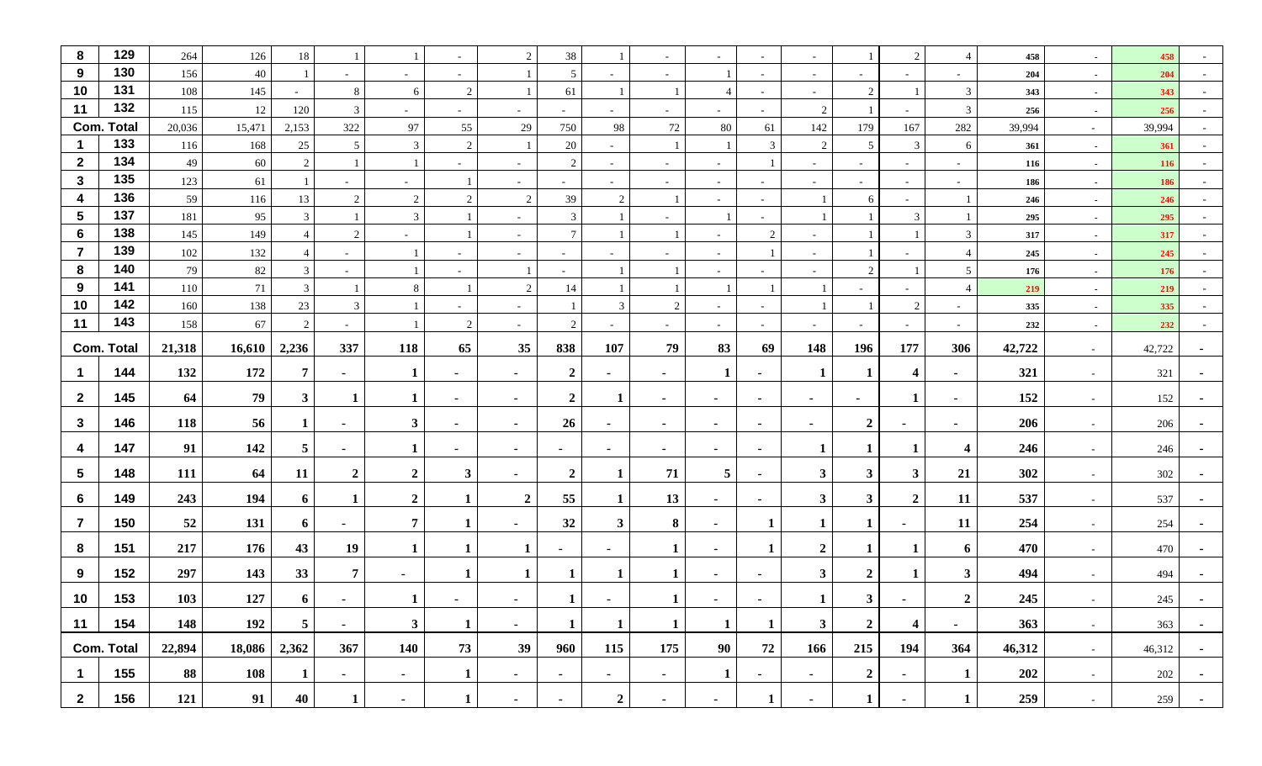| 8                       | 129               | 264    | 126        | 18             |                          |                | $\overline{\phantom{a}}$ | 2                        | 38                       |                  |                          |                |                | $\sim$                   |                | 2                       | $\overline{4}$          | 458    | $\sim$ | 458        |        |
|-------------------------|-------------------|--------|------------|----------------|--------------------------|----------------|--------------------------|--------------------------|--------------------------|------------------|--------------------------|----------------|----------------|--------------------------|----------------|-------------------------|-------------------------|--------|--------|------------|--------|
| 9                       | 130               | 156    | $40\,$     |                | $\overline{\phantom{a}}$ | $\sim$         | $\overline{\phantom{a}}$ |                          | 5                        |                  | $\overline{\phantom{a}}$ |                |                | $\sim$                   |                | $\sim$                  |                         | 204    | $\sim$ | 204        |        |
| 10                      | 131               | 108    | 145        | $\sim$         | 8                        | 6              | 2                        |                          | 61                       |                  |                          | $\overline{4}$ | $\sim$         | $\sim$                   | $\overline{2}$ |                         | $\overline{3}$          | 343    | $\sim$ | 343        |        |
| 11                      | 132               | 115    | 12         | 120            | 3                        | $\sim$         |                          |                          |                          |                  |                          |                |                | $\overline{2}$           |                | $\sim$                  | $\overline{3}$          | 256    | $\sim$ | 256        |        |
|                         | <b>Com. Total</b> | 20,036 | 15,471     | 2,153          | 322                      | 97             | 55                       | $29\,$                   | 750                      | 98               | $72\,$                   | 80             | 61             | 142                      | 179            | 167                     | 282                     | 39,994 | $\sim$ | 39,994     |        |
| -1                      | 133               | 116    | 168        | 25             | 5                        | 3              | $\overline{2}$           |                          | 20                       | $\sim$           |                          |                | 3              | $\overline{2}$           | 5              | 3                       | 6                       | 361    | $\sim$ | 361        | $\sim$ |
| $\mathbf{2}$            | 134               | 49     | 60         | 2              |                          |                | $\sim$                   | $\overline{\phantom{a}}$ | 2                        | $\sim$           | $\sim$                   | $\sim$         |                | $\sim$                   | $\sim$         | $\sim$                  | $\overline{a}$          | 116    | $\sim$ | <b>116</b> |        |
| $\mathbf{3}$            | 135               | 123    | 61         |                | $\overline{\phantom{a}}$ | $\sim$         |                          | $\sim$                   | $\sim$                   | $\sim$           | $\sim$                   | $\sim$         | $\sim$         | $\sim$                   | $\sim$         | $\sim$                  | $\sim$                  | 186    | $\sim$ | 186        |        |
| $\boldsymbol{4}$        | 136               | 59     | 116        | 13             | 2                        | 2              | $\overline{2}$           | 2                        | 39                       | $\overline{2}$   |                          | $\sim$         |                |                          | 6              | $\sim$                  |                         | 246    | $\sim$ | 246        |        |
| $\overline{\mathbf{5}}$ | 137               | 181    | 95         | 3              |                          | 3              | $\overline{1}$           |                          | 3                        |                  |                          |                |                |                          |                | 3                       |                         | 295    | $\sim$ | 295        |        |
| 6                       | 138               | 145    | 149        | $\overline{4}$ | 2                        | $\sim$         |                          | $\sim$                   | $\overline{7}$           |                  |                          | $\sim$         | 2              | $\sim$                   |                |                         | $\overline{3}$          | 317    | $\sim$ | 317        |        |
| $\overline{7}$          | 139               | 102    | 132        |                | $\overline{\phantom{a}}$ |                |                          | $\overline{\phantom{a}}$ | $\overline{\phantom{0}}$ |                  |                          | $\sim$         |                | $\sim$                   |                | $\sim$                  | $\overline{4}$          | 245    | $\sim$ | 245        |        |
| 8                       | 140               | 79     | 82         | $\mathbf{3}$   | $\overline{\phantom{a}}$ |                | $\overline{\phantom{a}}$ |                          | $\overline{\phantom{a}}$ |                  |                          | $\sim$         | $\sim$         | $\overline{\phantom{a}}$ | 2              |                         | 5                       | 176    | $\sim$ | 176        |        |
| 9<br>10                 | 141<br>142        | 110    | 71         | $\mathfrak{Z}$ |                          | 8              |                          | 2                        | 14                       |                  |                          |                |                |                          |                | $\sim$                  | $\overline{4}$          | 219    | $\sim$ | 219        |        |
| 11                      | 143               | 160    | 138        | 23             | 3                        |                | $\sim$                   | $\overline{\phantom{a}}$ |                          | 3                | $\overline{2}$           | $\sim$         | $\sim$         |                          |                | 2                       | $\sim$                  | 335    | $\sim$ | 335        |        |
|                         |                   | 158    | 67         | 2              | $\sim$                   |                | 2                        | $\sim$                   | 2                        | $\sim$           | $\overline{\phantom{a}}$ | $\sim$         | $\sim$         | $\sim$                   | $\sim$         | $\sim$                  | $\sim$                  | 232    | $\sim$ | 232        |        |
|                         | <b>Com. Total</b> | 21,318 | 16,610     | 2,236          | 337                      | 118            | 65                       | 35                       | 838                      | 107              | 79                       | 83             | 69             | 148                      | 196            | 177                     | 306                     | 42,722 | $\sim$ | 42,722     |        |
| $\mathbf 1$             | 144               | 132    | 172        | 7              | $\sim$                   | 1              | ٠                        | $\overline{\phantom{a}}$ | $\boldsymbol{2}$         | $\sim$           | $\sim$                   | 1              | $\blacksquare$ |                          |                | 4                       | $\sim$                  | 321    | $\sim$ | 321        |        |
| $\mathbf{2}$            | 145               | 64     | 79         | $3^{\circ}$    | -1                       | $\bf{1}$       | $\overline{\phantom{a}}$ | ٠.                       | $\boldsymbol{2}$         | 1                | $\sim$                   | ж.             | $\sim$         | $\sim$                   | ٠              | $\mathbf 1$             | $\sim$                  | 152    | $\sim$ | 152        |        |
| $\mathbf{3}$            | 146               | 118    | 56         | $\mathbf{1}$   | $\sim$                   | 3 <sup>1</sup> | $\blacksquare$           | $\sim$                   | 26                       | $\blacksquare$   | $\blacksquare$           | $\sim$         | $\blacksquare$ | $\sim$                   | $\overline{2}$ | $\sim$                  | $\sim$                  | 206    | $\sim$ | 206        |        |
| 4                       | 147               | 91     | 142        | 5              | $\sim$                   |                | $\blacksquare$           | $\sim$                   | $\blacksquare$           | $\blacksquare$   | $\sim$                   | $\sim$         | $\blacksquare$ |                          |                | 1                       | $\overline{\mathbf{4}}$ | 246    | $\sim$ | 246        |        |
| $\sqrt{5}$              | 148               | 111    | 64         | 11             | $\boldsymbol{2}$         | $\mathbf{2}$   | $\mathbf{3}$             | $\sim$                   | $\boldsymbol{2}$         | 1                | 71                       | 5              | $\sim$         | $\mathbf{3}$             | $\mathbf{3}$   | $\mathbf{3}$            | 21                      | 302    | $\sim$ | 302        |        |
|                         |                   |        |            |                |                          |                |                          |                          |                          |                  |                          |                |                |                          |                |                         |                         |        |        |            |        |
| 6                       | 149               | 243    | 194        | 6              | -1                       | $\overline{2}$ | 1                        | $\overline{2}$           | 55                       | 1                | 13                       | $\sim$         |                | $\mathbf{3}$             | $\mathbf{3}$   | $\mathbf{2}$            | 11                      | 537    | $\sim$ | 537        |        |
| $\overline{7}$          | 150               | 52     | 131        | 6              | $\sim$                   | $\overline{7}$ | 1                        | $\sim$                   | 32                       | 3 <sup>1</sup>   | 8                        | $\sim$         | 1              | 1                        |                | $\sim$                  | 11                      | 254    | $\sim$ | 254        |        |
| 8                       | 151               | 217    | 176        | 43             | 19                       | 1              |                          | 1                        | ж.                       | ٠                | 1                        | $\sim$         |                | $\overline{2}$           |                | 1                       | 6                       | 470    | $\sim$ | 470        |        |
| 9                       | 152               | 297    | 143        | 33             | $\overline{7}$           | $\blacksquare$ |                          | $\mathbf 1$              |                          | 1                | $\mathbf{1}$             | $\sim$         |                | $\mathbf{3}$             | $\overline{2}$ |                         | $\mathbf{3}$            | 494    |        | 494        |        |
| 10                      | 153               | 103    | 127        | 6              |                          |                |                          |                          |                          |                  |                          |                |                | 1                        | $\mathbf{3}$   |                         | $\boldsymbol{2}$        | 245    |        | 245        |        |
| 11                      | 154               | 148    | 192        | 5 <sub>5</sub> | $\sim$                   | 3 <sup>1</sup> | $\mathbf{1}$             | $\sim$                   | $\mathbf{1}$             | 1                | $\mathbf{1}$             | $\mathbf{1}$   | 1              | 3 <sup>1</sup>           | $\overline{2}$ | $\overline{\mathbf{4}}$ | $\sim$                  | 363    | $\sim$ | 363        | $\sim$ |
|                         | <b>Com. Total</b> | 22,894 | 18,086     | 2,362          | 367                      | 140            | 73                       | 39                       | 960                      | 115              | 175                      | 90             | 72             | 166                      | 215            | 194                     | 364                     | 46,312 | $\sim$ | 46,312     | $\sim$ |
| $\mathbf{1}$            | 155               | 88     | <b>108</b> | $\mathbf{1}$   | $\sim$                   | $\sim$         | $\mathbf{1}$             | $\sim$                   | $\blacksquare$           | ٠                | $\sim$                   | $\mathbf{1}$   | ٠              | $\sim$                   | $\overline{2}$ | $\sim$                  | $\mathbf{1}$            | 202    | $\sim$ | 202        | $\sim$ |
| $\overline{2}$          | 156               | 121    | 91         | 40             | $\mathbf{1}$             | $\sim$         | $\mathbf{1}$             | $\sim$                   | $\blacksquare$           | $\boldsymbol{2}$ | $\sim$                   | $\sim$         | 1              | $\blacksquare$           | $\mathbf{1}$   | $\sim$                  | $\mathbf{1}$            | 259    | $\sim$ | 259        | $\sim$ |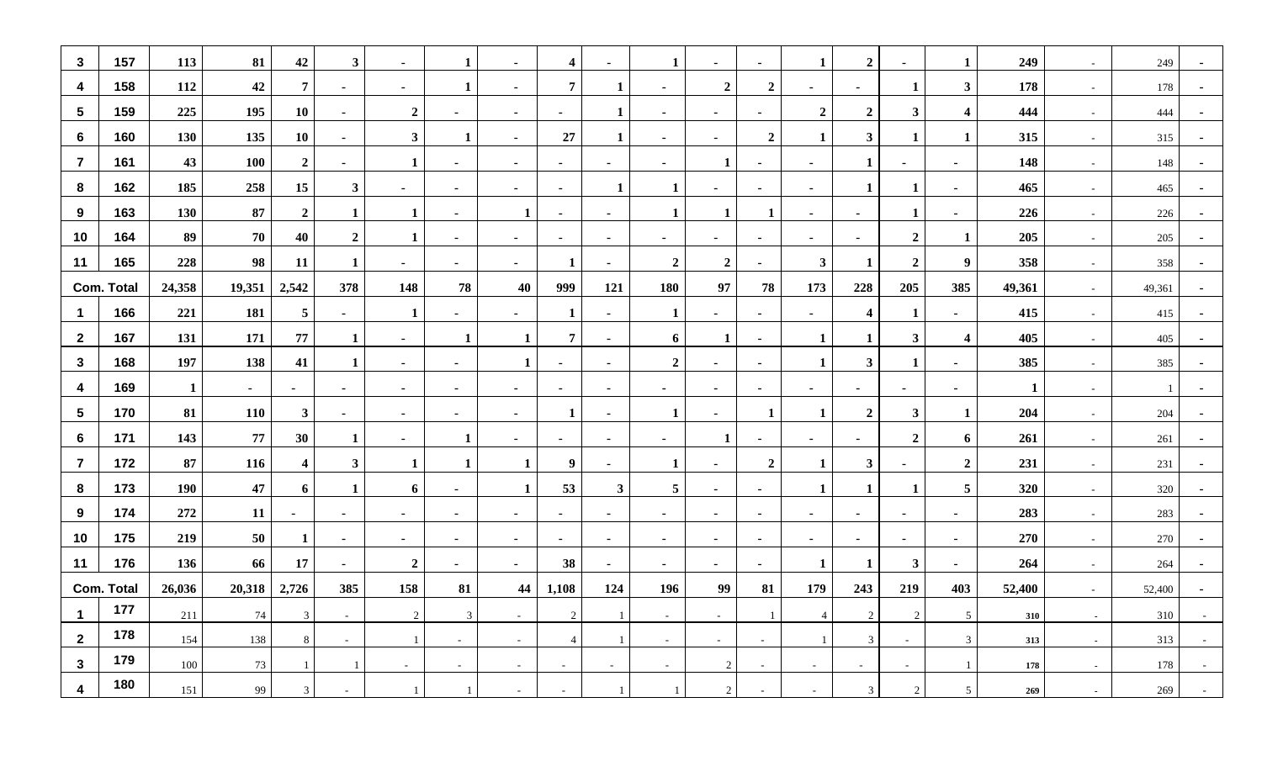| $\mathbf{3}$    | 157               | 113          | 81         | 42                      | $\mathbf{3}$     | $\sim$           | 1              | $\sim$         | $\overline{\mathbf{4}}$ | $\sim$         | -1                      | $\sim$           | $\blacksquare$           | 1                        | $\overline{2}$           | $\blacksquare$ | 1                       | 249          | $\sim$ | 249    | $\blacksquare$ |
|-----------------|-------------------|--------------|------------|-------------------------|------------------|------------------|----------------|----------------|-------------------------|----------------|-------------------------|------------------|--------------------------|--------------------------|--------------------------|----------------|-------------------------|--------------|--------|--------|----------------|
| 4               | 158               | 112          | 42         | $\overline{7}$          | $\sim$           | $\sim$           | 1              | $\blacksquare$ | $\overline{7}$          | 1              | $\sim$                  | $\overline{2}$   | $\overline{2}$           | $\sim$                   |                          | 1              | $\mathbf{3}$            | 178          | $\sim$ | 178    |                |
| $5\phantom{.0}$ | 159               | 225          | 195        | <b>10</b>               | $\blacksquare$   | $\boldsymbol{2}$ |                | $\blacksquare$ | $\blacksquare$          | 1              |                         | $\blacksquare$   | $\blacksquare$           | $\overline{2}$           | $\overline{2}$           | $\mathbf{3}$   | $\overline{\mathbf{4}}$ | 444          | $\sim$ | 444    |                |
| 6               | 160               | 130          | 135        | 10                      | $\sim$           | $\mathbf{3}$     | 1              | $\sim$         | 27                      | 1              | $\sim$                  | $\sim$           | $\overline{2}$           |                          | $\mathbf{3}$             | 1              | 1                       | 315          | $\sim$ | 315    | $\sim$         |
| $\overline{7}$  | 161               | 43           | <b>100</b> | $\overline{2}$          | $\sim$           |                  | $\blacksquare$ | $\blacksquare$ | $\sim$                  | $\sim$         | $\sim$                  | 1                | $\blacksquare$           | $\sim$                   | 1                        | $\blacksquare$ | $\blacksquare$          | 148          | $\sim$ | 148    |                |
| 8               | 162               | 185          | 258        | 15                      | $\mathbf{3}$     | $\blacksquare$   | $\blacksquare$ | $\blacksquare$ | $\blacksquare$          | 1              | 1                       | $\blacksquare$   | $\blacksquare$           | $\blacksquare$           | 1                        | 1              | $\blacksquare$          | 465          | $\sim$ | 465    |                |
| 9               | 163               | 130          | 87         | $\boldsymbol{2}$        | -1               |                  | $\blacksquare$ |                | $\blacksquare$          | $\sim$         | 1                       | 1                | -1                       | $\sim$                   | $\blacksquare$           | 1              | $\blacksquare$          | 226          | $\sim$ | 226    | $\sim$         |
| 10              | 164               | 89           | 70         | 40                      | $\boldsymbol{2}$ | 1                | ٠              | $\blacksquare$ | $\sim$                  | $\sim$         | $\sim$                  | $\sim$           | $\overline{\phantom{a}}$ | $\sim$                   |                          | $\overline{2}$ | $\mathbf{1}$            | 205          | $\sim$ | 205    |                |
| 11              | 165               | 228          | 98         | 11                      | $\mathbf 1$      | $\blacksquare$   | $\blacksquare$ | $\blacksquare$ | 1                       | $\blacksquare$ | $\boldsymbol{2}$        | $\boldsymbol{2}$ | $\blacksquare$           | $\mathbf{3}$             | 1                        | $\overline{2}$ | 9                       | 358          | $\sim$ | 358    |                |
|                 | <b>Com. Total</b> | 24,358       | 19,351     | 2,542                   | 378              | 148              | 78             | 40             | 999                     | 121            | <b>180</b>              | 97               | 78                       | 173                      | 228                      | 205            | 385                     | 49,361       | $\sim$ | 49,361 | $\sim$         |
| -1              | 166               | 221          | 181        | $\overline{5}$          | $\sim$           | 1                | ٠              | $\blacksquare$ | $\mathbf{1}$            | $\sim$         | $\mathbf{1}$            | $\sim$           | ٠                        | $\sim$                   | 4                        | $\mathbf{1}$   | $\blacksquare$          | 415          | $\sim$ | 415    | $\sim$         |
| $\mathbf{2}$    | 167               | 131          | 171        | 77                      | -1               | $\blacksquare$   | 1              |                | $\overline{7}$          | ٠              | 6                       | 1                | $\blacksquare$           | 1                        | 1                        | $\mathbf{3}$   | $\overline{\mathbf{4}}$ | 405          | $\sim$ | 405    |                |
| 3               | 168               | 197          | 138        | 41                      | -1               | $\blacksquare$   | ٠              |                | $\blacksquare$          | $\sim$         | $\boldsymbol{2}$        | $\blacksquare$   | $\blacksquare$           | 1                        | $\mathbf{3}$             | 1              | $\blacksquare$          | 385          | $\sim$ | 385    | $\blacksquare$ |
| 4               | 169               | $\mathbf{1}$ | $\sim$     | $\blacksquare$          | $\sim$           | $\sim$           | ٠              | $\blacksquare$ | $\sim$                  | $\sim$         | $\sim$                  | $\sim$           | $\overline{\phantom{a}}$ | $\sim$                   | $\blacksquare$           | $\blacksquare$ | $\blacksquare$          | $\mathbf{1}$ | $\sim$ |        | $\blacksquare$ |
| $5\phantom{.0}$ | 170               | 81           | <b>110</b> | 3 <sup>1</sup>          | $\blacksquare$   | $\blacksquare$   | $\blacksquare$ | $\blacksquare$ | 1                       | ٠              | $\mathbf{1}$            | $\sim$           | -1                       |                          | $\overline{2}$           | $\mathbf{3}$   | $\mathbf{1}$            | 204          | $\sim$ | 204    |                |
| 6               | 171               | 143          | 77         | 30                      | -1               | $\sim$           | 1              | $\blacksquare$ | $\blacksquare$          | $\sim$         | $\sim$                  | 1                | $\blacksquare$           | $\blacksquare$           | $\blacksquare$           | $\overline{2}$ | 6                       | 261          | $\sim$ | 261    | $\blacksquare$ |
| $\overline{7}$  | 172               | 87           | 116        | $\overline{\mathbf{4}}$ | $\mathbf{3}$     | 1                | 1              |                | 9                       | $\sim$         | 1                       | $\sim$           | $\overline{2}$           | 1                        | $\mathbf{3}$             | $\blacksquare$ | $\overline{2}$          | 231          | $\sim$ | 231    | $\sim$         |
| 8               | 173               | 190          | 47         | 6                       | -1               | 6                | ٠              |                | 53                      | $\mathbf{3}$   | $\overline{\mathbf{5}}$ | $\sim$           | $\blacksquare$           |                          |                          | 1              | 5                       | 320          | $\sim$ | 320    |                |
| 9               | 174               | 272          | 11         | $\blacksquare$          | $\sim$           | $\sim$           | $\blacksquare$ | $\sim$         | $\blacksquare$          | $\sim$         | $\sim$                  | $\sim$           | $\blacksquare$           | $\blacksquare$           | $\blacksquare$           | $\sim$         | $\blacksquare$          | 283          | $\sim$ | 283    | $\blacksquare$ |
| 10              | 175               | 219          | 50         | 1                       | $\blacksquare$   | $\sim$           | $\blacksquare$ | $\blacksquare$ | $\blacksquare$          | $\sim$         | $\sim$                  | $\sim$           | $\blacksquare$           | $\sim$                   | $\blacksquare$           | $\blacksquare$ | $\blacksquare$          | 270          | $\sim$ | 270    | $\blacksquare$ |
| 11              | 176               | 136          | 66         | 17                      | ж.               | $\overline{2}$   | ٠              | ٠              | 38                      | $\sim$         | ж.                      | $\sim$           | ٠.                       | 1                        |                          | $\mathbf{3}$   | $\blacksquare$          | 264          | $\sim$ | 264    |                |
|                 | <b>Com. Total</b> | 26,036       | 20,318     | 2,726                   | 385              | 158              | 81             | 44             | 1,108                   | 124            | 196                     | 99               | 81                       | 179                      | 243                      | 219            | 403                     | 52,400       | $\sim$ | 52,400 | $\blacksquare$ |
| -1              | 177               | 211          | 74         | $\mathfrak{Z}$          | $\sim$           | $\sqrt{2}$       | $\mathbf{3}$   | $\sim$         | $\overline{2}$          |                | $\sim$                  | $\sim$           |                          | $\overline{4}$           | $\overline{c}$           | $\overline{c}$ | 5                       | 310          | $\sim$ | 310    |                |
| $\mathbf{2}$    | 178               | 154          | 138        | 8                       | $\sim$           |                  | $\sim$         | $\sim$         | $\overline{4}$          |                | $\sim$                  | $\sim$           | $\sim$                   | $\mathbf{1}$             | 3                        | $\sim$         | $\mathfrak{Z}$          | 313          | $\sim$ | 313    | $\sim$ $ \sim$ |
| $\mathbf{3}$    | 179               | 100          | 73         | -1                      |                  | $\sim$           | $\sim$         | $\sim$         | $\sim$                  | $\sim$         | $\sim$                  | 2                | $\sim$                   | $\sim$                   | $\overline{\phantom{a}}$ | $\sim$         | -1                      | 178          | $\sim$ | 178    | $\sim$ $ \sim$ |
| 4               | 180               | 151          | 99         | 3                       | $\sim$           |                  |                | $\sim$         | $\sim$                  |                |                         | $\overline{2}$   | $\overline{\phantom{a}}$ | $\overline{\phantom{a}}$ | 3                        | $\overline{2}$ | 5 <sup>5</sup>          | 269          | $\sim$ | 269    | $\sim$ $-$     |